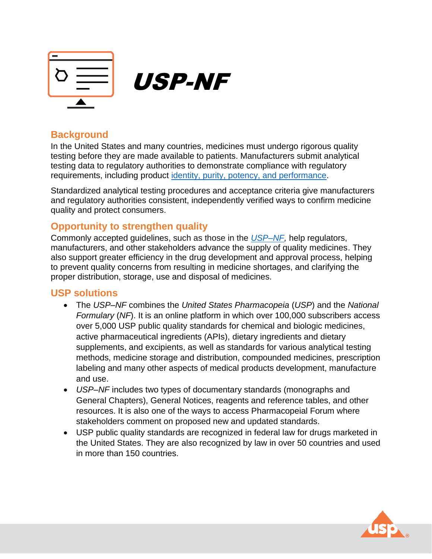

# **Background**

In the United States and many countries, medicines must undergo rigorous quality testing before they are made available to patients. Manufacturers submit analytical testing data to regulatory authorities to demonstrate compliance with regulatory requirements, including product [identity, purity, potency, and performance.](https://www.usp.org/about/public-policy/overview-of-monographs)

Standardized analytical testing procedures and acceptance criteria give manufacturers and regulatory authorities consistent, independently verified ways to confirm medicine quality and protect consumers.

## **Opportunity to strengthen quality**

Commonly accepted guidelines, such as those in the *[USP–NF,](https://www.uspnf.com/)* help regulators, manufacturers, and other stakeholders advance the supply of quality medicines. They also support greater efficiency in the drug development and approval process, helping to prevent quality concerns from resulting in medicine shortages, and clarifying the proper distribution, storage, use and disposal of medicines.

### **USP solutions**

- The *USP–NF* combines the *United States Pharmacopeia* (*USP*) and the *National Formulary* (*NF*). It is an online platform in which over 100,000 subscribers access over 5,000 USP public quality standards for chemical and biologic medicines, active pharmaceutical ingredients (APIs), dietary ingredients and dietary supplements, and excipients, as well as standards for various analytical testing methods, medicine storage and distribution, compounded medicines, prescription labeling and many other aspects of medical products development, manufacture and use.
- *USP–NF* includes two types of documentary standards (monographs and General Chapters), General Notices, reagents and reference tables, and other resources. It is also one of the ways to access Pharmacopeial Forum where stakeholders comment on proposed new and updated standards.
- USP public quality standards are recognized in federal law for drugs marketed in the United States. They are also recognized by law in over 50 countries and used in more than 150 countries.